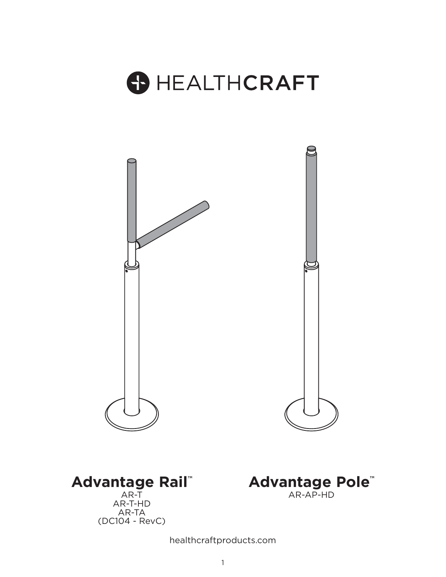





(DC104 - RevC)



healthcraftproducts.com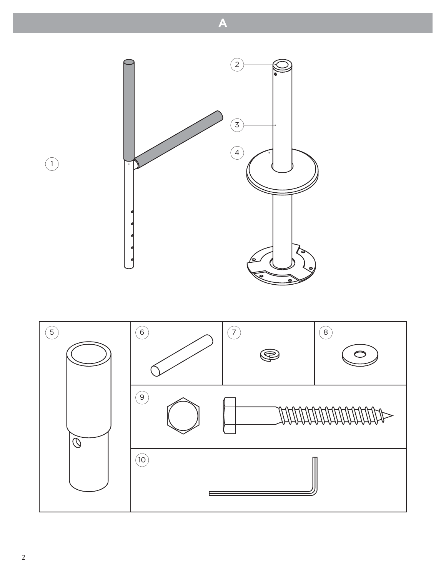

**A**

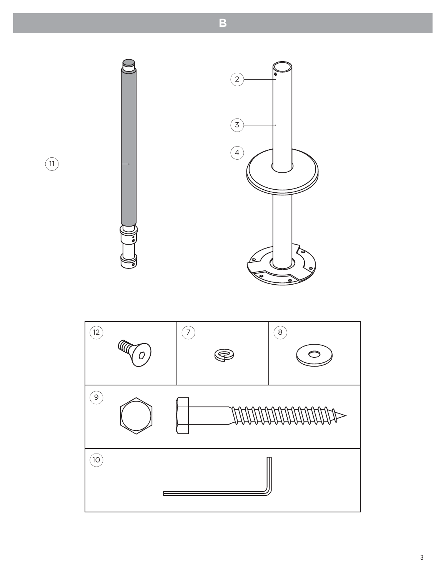

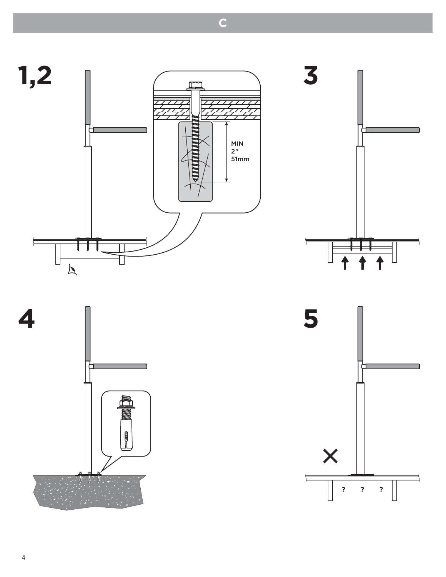





**C**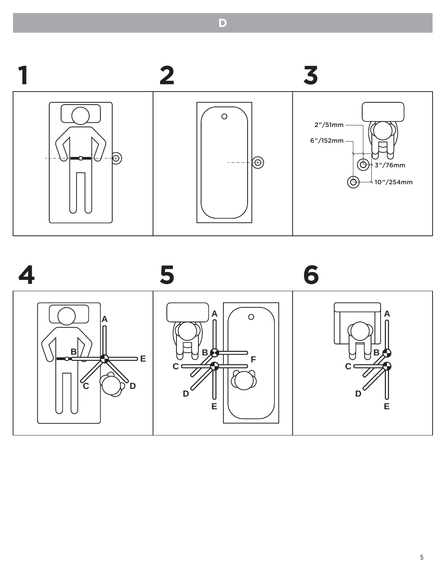

**D**

**45 6 A A**  $\circ$ **A B B B**  $=$  E **F** ビ </u> **C**  $\overline{\mathbf{c}}$   $\overline{\mathbf{c}}$  $\overline{\mathcal{C}}$ **C D**  $D^{\mathcal{C}}$ **D E E**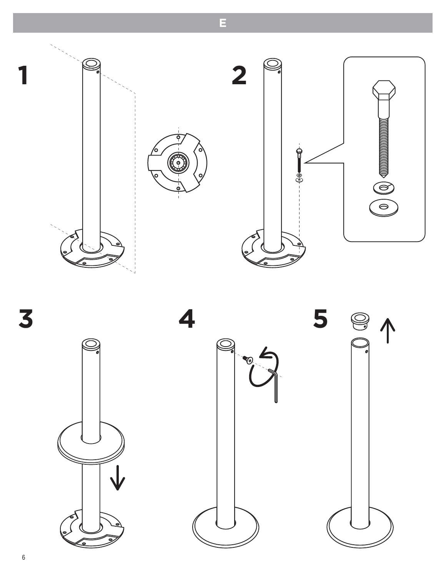

**E**

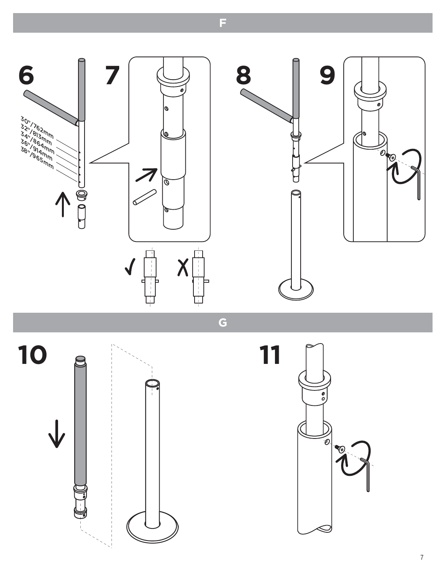

**G**







**F**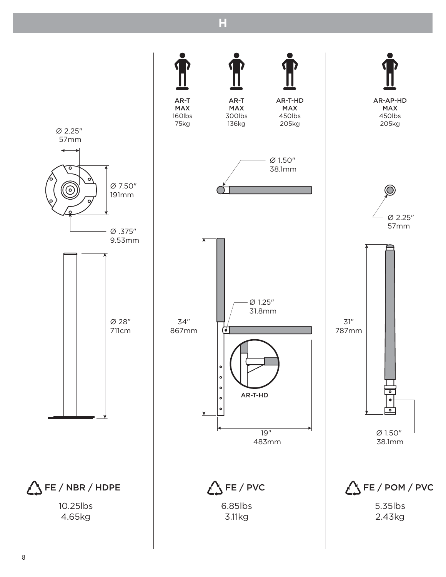

**H**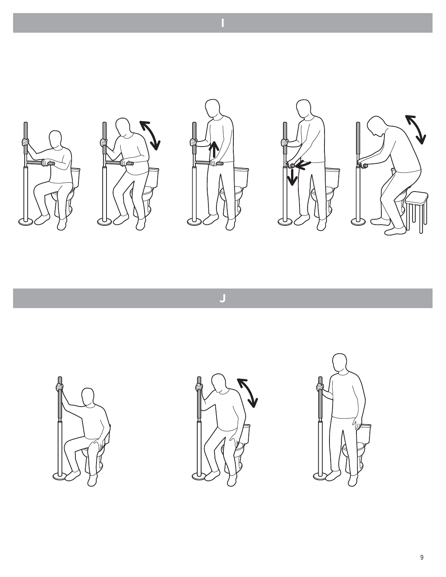

**J**

**I**





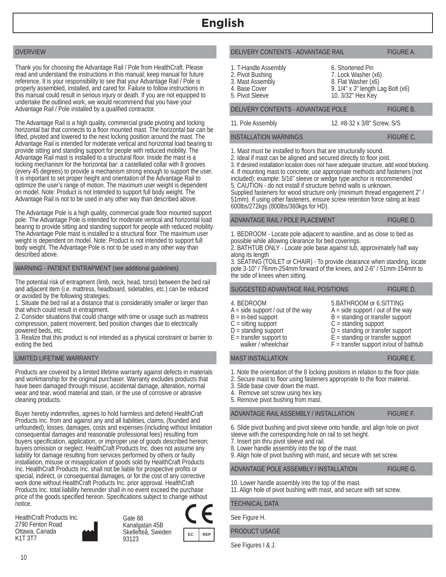# OVERVIEW

Thank you for choosing the Advantage Rail / Pole from HealthCraft. Please read and understand the instructions in this manual; keep manual for future reference. It is your responsibility to see that your Advantage Rail / Pole is properly assembled, installed, and cared for. Failure to follow instructions in this manual could result in serious injury or death. If you are not equipped to undertake the outlined work, we would recommend that you have your Advantage Rail / Pole installed by a qualified contractor.

The Advantage Rail is a high quality, commercial grade pivoting and locking horizontal bar that connects to a floor mounted mast. The horizontal bar can be lifted, pivoted and lowered to the next locking position around the mast. The Advantage Rail is intended for moderate vertical and horizontal load bearing to provide sitting and standing support for people with reduced mobility. The Advantage Rail mast is installed to a structural floor. Inside the mast is a locking mechanism for the horizontal bar: a castellated collar with 8 grooves (every 45 degrees) to provide a mechanism strong enough to support the user. It is important to set proper height and orientation of the Advantage Rail to optimize the user's range of motion. The maximum user weight is dependent on model. Note: Product is not intended to support full body weight. The Advantage Rail is not to be used in any other way than described above.

The Advantage Pole is a high quality, commercial grade floor mounted support pole. The Advantage Pole is intended for moderate vertical and horizontal load bearing to provide sitting and standing support for people with reduced mobility. The Advantage Pole mast is installed to a structural floor. The maximum user weight is dependent on model. Note: Product is not intended to support full body weight. The Advantage Pole is not to be used in any other way than described above.

# WARNING - PATIENT ENTRAPMENT (see additional guidelines)

The potential risk of entrapment (limb, neck, head, torso) between the bed rail and adjacent item (i.e. mattress, headboard, sidetables, etc.) can be reduced or avoided by the following strategies:

1. Situate the bed rail at a distance that is considerably smaller or larger than that which could result in entrapment.

2. Consider situations that could change with time or usage such as mattress compression, patient movement, bed position changes due to electrically powered beds, etc.

3. Realize that this product is not intended as a physical constraint or barrier to exiting the bed.

# LIMITED LIFETIME WARRANTY

Products are covered by a limited lifetime warranty against defects in materials and workmanship for the original purchaser. Warranty excludes products that have been damaged through misuse, accidental damage, alteration, normal wear and tear, wood material and stain, or the use of corrosive or abrasive cleaning products.

Buyer hereby indemnifies, agrees to hold harmless and defend HealthCraft Products Inc. from and against any and all liabilities, claims, (founded and unfounded), losses, damages, costs and expenses (including without limitation consequential damages and reasonable professional fees) resulting from buyers specification, application, or improper use of goods described hereon; buyers omission or neglect. HealthCraft Products Inc. does not assume any liability for damage resulting from services performed by others or faulty installation, misuse or misapplication of goods sold by HealthCraft Products Inc. HealthCraft Products Inc. shall not be liable for prospective profits or special, indirect, or consequential damages, or for the cost of any corrective work done without HealthCraft Products Inc. prior approval. HealthCraft Products Inc. total liability hereunder shall in no event exceed the purchase price of the goods specified hereon. Specifications subject to change without notice.

HealthCraft Products Inc. 2790 Fenton Road Ottawa, Canada K1T 3T7

Gate 88 Kanalgatan 45B Skellefteå, Sweden 93123

**REP** 

# DELIVERY CONTENTS - ADVANTAGE RAIL FIGURE A.

1. T-Handle Assembly 2. Pivot Bushing

3. Mast Assembly

4. Base Cover

11. Pole Assembly

5. Pivot Sleeve

10. 3/32" Hex Key

DELIVERY CONTENTS - ADVANTAGE POLE FIGURE B.

12. #8-32 x 3/8" Screw, S/S

9. 1/4" x 3" length Lag Bolt (x6)

6. Shortened Pin 7. Lock Washer (x6) 8. Flat Washer (x6)

#### INSTALLATION WARNINGS FIGURE C.

1. Mast must be installed to floors that are structurally sound.

2. Ideal if mast can be aligned and secured directly to floor joist.

3. If desired installation location does not have adequate structure, add wood blocking. 4. If mounting mast to concrete, use appropriate methods and fasteners (not included): example: 5/16" sleeve or wedge type anchor is recommended 5. CAUTION - do not install if structure behind walls is unknown. Supplied fasteners for wood structure only (minimum thread engagement 2" / 51mm). If using other fasteners, ensure screw retention force rating at least 600lbs/272kgs (800lbs/360kgs for HD).

### ADVANTAGE RAIL / POLE PLACEMENT FIGURE D.

1. BEDROOM - Locate pole adjacent to waistline, and as close to bed as possible while allowing clearance for bed coverings.

2. BATHTUB ONLY - Locate pole base against tub, approximately half way along its length

3. SEATING (TOILET or CHAIR) - To provide clearance when standing, locate pole 3-10" / 76mm-254mm forward of the knees, and 2-6" / 51mm-154mm to the side of knees when sitting.

# SUGGESTED ADVANTAGE RAIL POSITIONS FIGURE D.

# 4. BEDROOM

- $A = side support / out of the way$
- $B = in$ -bed support
- $C =$  sitting support
- $D =$  standing support
- $E =$  transfer support to
	- walker / wheelchair

# MAST INSTALLATION FIGURE E.

- 1. Note the orientation of the 8 locking positions in relation to the floor plate.
- 2. Secure mast to floor using fasteners appropriate to the floor material.
- 3. Slide base cover down the mast.
- 4. Remove set screw using hex key.
- 5. Remove pivot bushing from mast.

#### ADVANTAGE RAIL ASSEMBLY / INSTALLATION FIGURE F.

10. Lower handle assembly into the top of the mast.

6. Slide pivot bushing and pivot sleeve onto handle, and align hole on pivot sleeve with the corresponding hole on rail to set height.

- 7. Insert pin thru pivot sleeve and rail.
- 8. Lower handle assembly into the top of the mast.
- 9. Align hole of pivot bushing with mast, and secure with set screw.

ADVANTAGE POLE ASSEMBLY / INSTALLATION FIGURE G.

11. Align hole of pivot bushing with mast, and secure with set screw.

TECHNICAL DATA

See Figure H.

PRODUCT USAGE

See Figures I & J.

5.BATHROOM or 6.SITTING  $A = side support / out of the way$ B = standing or transfer support

 $F =$  transfer support in/out of bathtub

- $C =$  standing support
- $D =$  standing or transfer support  $E =$  standing or transfer support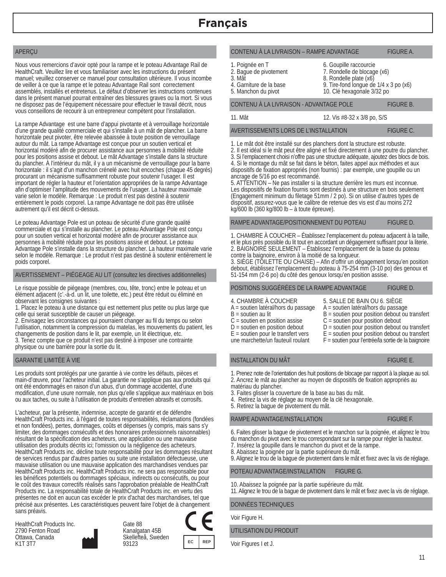# APERÇU

Nous vous remercions d'avoir opté pour la rampe et le poteau Advantage Rail de HealthCraft. Veuillez lire et vous familiariser avec les instructions du présent manuel; veuillez conserver ce manuel pour consultation ultérieure. Il vous incombe de veiller à ce que la rampe et le poteau Advantage Rail sont correctement assemblés, installés et entretenus. Le défaut d'observer les instructions contenues dans le présent manuel pourrait entraîner des blessures graves ou la mort. Si vous ne disposez pas de l'équipement nécessaire pour effectuer le travail décrit, nous vous conseillons de recourir à un entrepreneur compétent pour l'installation.

La rampe Advantage est une barre d'appui pivotante et à verrouillage horizontale d'une grande qualité commerciale et qui s'installe à un mât de plancher. La barre horizontale peut pivoter, être relevée abaissée à toute position de verrouillage autour du mât. La rampe Advantage est conçue pour un soutien vertical et horizontal modéré afin de procurer assistance aux personnes à mobilité réduite pour les positions assise et debout. Le mât Advantage s'installe dans la structure du plancher. À l'intérieur du mât, il y a un mécanisme de verrouillage pour la barre horizontale : il s'agit d'un manchon crénelé avec huit encoches (chaque 45 degrés) procurant un mécanisme suffisamment robuste pour soutenir l'usager. Il est important de régler la hauteur et l'orientation appropriées de la rampe Advantage afin d'optimiser l'amplitude des mouvements de l'usager. La hauteur maximale varie selon le modèle. Remarque : Le produit n'est pas destiné à soutenir entièrement le poids corporel. La rampe Advantage ne doit pas être utilisée autrement qu'il est décrit ci-dessus.

Le poteau Advantage Pole est un poteau de sécurité d'une grande qualité commerciale et qui s'installe au plancher. Le poteau Advantage Pole est conçu pour un soutien vertical et horizontal modéré afin de procurer assistance aux personnes à mobilité réduite pour les positions assise et debout. Le poteau Advantage Pole s'installe dans la structure du plancher. La hauteur maximale varie selon le modèle. Remarque : Le produit n'est pas destiné à soutenir entièrement le poids corporel.

# AVERTISSEMENT – PIÉGEAGE AU LIT (consultez les directives additionnelles)

Le risque possible de piégeage (membres, cou, tête, tronc) entre le poteau et un élément adjacent (c'.-à-d. un lit, une toilette, etc.) peut être réduit ou éliminé en observant les consignes suivantes :

1. Placez le poteau à une distance qui est nettement plus petite ou plus large que celle qui serait susceptible de causer un piégeage.

2. Envisagez les circonstances qui pourraient changer au fil du temps ou selon l'utilisation, notamment la compression du matelas, les mouvements du patient, les changements de position dans le lit, par exemple, un lit électrique, etc. 3. Tenez compte que ce produit n'est pas destiné à imposer une contrainte physique ou une barrière pour la sortie du lit.

# GARANTIE LIMITÉE À VIE

Les produits sont protégés par une garantie à vie contre les défauts, pièces et main-d'œuvre, pour l'acheteur initial. La garantie ne s'applique pas aux produits qui ont été endommagés en raison d'un abus, d'un dommage accidentel, d'une modification, d'une usure normale, non plus qu'elle s'applique aux matériaux en bois ou aux taches, ou suite à l'utilisation de produits d'entretien abrasifs et corrosifs.

L'acheteur, par la présente, indemnise, accepte de garantir et de défendre HealthCraft Products inc. à l'égard de toutes responsabilités, réclamations (fondées et non fondées), pertes, dommages, coûts et dépenses (y compris, mais sans s'y limiter, des dommages consécutifs et des honoraires professionnels raisonnables) résultant de la spécification des acheteurs, une application ou une mauvaise utilisation des produits décrits ici; l'omission ou la négligence des acheteurs. HealthCraft Products inc. décline toute responsabilité pour les dommages résultant de services rendus par d'autres parties ou suite une installation défectueuse, une mauvaise utilisation ou une mauvaise application des marchandises vendues par HealthCraft Products inc. HealthCraft Products inc. ne sera pas responsable pour les bénéfices potentiels ou dommages spéciaux, indirects ou consécutifs, ou pour le coût des travaux correctifs réalisés sans l'approbation préalable de HealthCraft Products inc. La responsabilité totale de HealthCraft Products inc. en vertu des présentes ne doit en aucun cas excéder le prix d'achat des marchandises, tel que précisé aux présentes. Les caractéristiques peuvent faire l'objet de à changement sans préavis.

HealthCraft Products Inc. 2790 Fenton Road Ottawa, Canada K1T 3T7

Gate 88 Kanalgatan 45B Skellefteå, Sweden 93123



#### CONTENU À LA LIVRAISON – RAMPE ADVANTAGE FIGURE A.

- 6. Goupille raccourcie
- 2. Bague de pivotement 3. Mât

1. Poignée en T

7. Rondelle de blocage (x6)

10. Clé hexagonale 3/32 po

- 8. Rondelle plate (x6) 9. Tire-fond longue de 1/4 x 3 po (x6)
- 4. Garniture de la base
- 5. Manchon du pivot

# CONTENU À LA LIVRAISON - ADVANTAGE POLE FIGURE B.

11. Mât

12. Vis #8-32 x 3/8 po, S/S

#### AVERTISSEMENTS LORS DE L'INSTALLATION FIGURE C.

1. Le mât doit être installé sur des planchers dont la structure est robuste.

2. Il est idéal si le mât peut être aligné et fixé directement à une poutre du plancher. 3. Si l'emplacement choisi n'offre pas une structure adéquate, ajoutez des blocs de bois. 4. Si le montage du mât se fait dans le béton, faites appel aux méthodes et aux dispositifs de fixation appropriés (non fournis) : par exemple, une goupille ou un ancrage de 5/16 po est recommandé.

5. ATTENTION – Ne pas installer si la structure derrière les murs est inconnue. Les dispositifs de fixation fournis sont destinés à une structure en bois seulement (Engagement minimum du filetage 51mm / 2 po). Si on utilise d'autres types de dispositif, assurez-vous que le calibre de retenue des vis est d'au moins 272 kg/600 lb (360 kg/800 lb – à toute épreuve).

RAMPE ADVANTAGE/POSITIONNEMENT DU POTEAU FIGURE D.

1. CHAMBRE À COUCHER – Établissez l'emplacement du poteau adjacent à la taille, et le plus près possible du lit tout en accordant un dégagement suffisant pour la literie. 2. BAIGNOIRE SEULEMENT – Établissez l'emplacement de la base du poteau contre la baignoire, environ à la moitié de sa longueur.

3. SIÈGE (TOILETTE OU CHAISE) – Afin d'offrir un dégagement lorsqu'en position debout, établissez l'emplacement du poteau à 75-254 mm (3-10 po) des genoux et 51-154 mm (2-6 po) du côté des genoux lorsqu'en position assise.

# POSITIONS SUGGÉRÉES DE LA RAMPE ADVANTAGE FIGURE D.

# 4. CHAMBRE À COUCHER

- A = soutien latéral/hors du passage
- B = soutien au lit
- 
- C = soutien en position assise
- $D =$  soutien en position debout
- E = soutien pour le transfert vers une marchette/un fauteuil roulant

# INSTALLATION DU MÂT FIGURE E.

1. Prenez note de l'orientation des huit positions de blocage par rapport à la plaque au sol. 2. Ancrez le mât au plancher au moyen de dispositifs de fixation appropriés au

matériau du plancher.

- 3. Faites glisser la couverture de la base au bas du mât.
- 4. Retirez la vis de réglage au moyen de la clé hexagonale.
- 5. Retirez la bague de pivotement du mât.

# RAMPE ADVANTAGE/INSTALLATION FIGURE F.

6. Faites glisser la bague de pivotement et le manchon sur la poignée, et alignez le trou du manchon du pivot avec le trou correspondant sur la rampe pour régler la hauteur.

- 7. Insérez la goupille dans le manchon du pivot et de la rampe.
- 8. Abaissez la poignée par la partie supérieure du mât.

9. Alignez le trou de la bague de pivotement dans le mât et fixez avec la vis de réglage.

#### POTEAU ADVANTAGE/INSTALLATION FIGURE G.

10. Abaissez la poignée par la partie supérieure du mât.

11. Alignez le trou de la bague de pivotement dans le mât et fixez avec la vis de réglage.

#### DONNÉES TECHNIQUES

Voir Figure H.

# UTILISATION DU PRODUIT

 $EC$  REP Voir Figures I et J.

 $B =$  soutien pour position debout ou transfert C = soutien pour position debout

5. SALLE DE BAIN OU 6. SIÈGE A = soutien latéral/hors du passage

D = soutien pour position debout ou transfert  $E =$  soutien pour position debout ou transfert F = soutien pour l'entrée/la sortie de la baignoire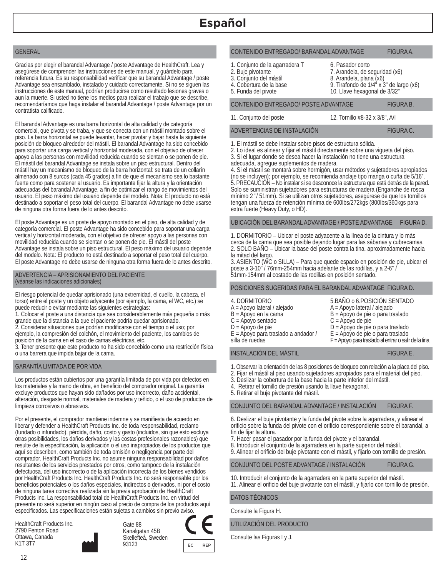# GENERAL

Gracias por elegir el barandal Advantage / poste Advantage de HealthCraft. Lea y asegúrese de comprender las instrucciones de este manual, y guárdelo para referencia futura. Es su responsabilidad verificar que su barandal Advantage / poste Advantage sea ensamblado, instalado y cuidado correctamente. Si no se siguen las instrucciones de este manual, podrían producirse como resultado lesiones graves o aun la muerte. Si usted no tiene los medios para realizar el trabajo que se describe, recomendaríamos que haga instalar el barandal Advantage / poste Advantage por un contratista calificado.

El barandal Advantage es una barra horizontal de alta calidad y de categoría comercial, que pivota y se traba, y que se conecta con un mástil montado sobre el piso. La barra horizontal se puede levantar, hacer pivotar y bajar hasta la siguiente posición de bloqueo alrededor del mástil. El barandal Advantage ha sido concebido para soportar una carga vertical y horizontal moderada, con el objetivo de ofrecer apoyo a las personas con movilidad reducida cuando se sientan o se ponen de pie. El mástil del barandal Advantage se instala sobre un piso estructural. Dentro del mástil hay un mecanismo de bloqueo de la barra horizontal: se trata de un collarín almenado con 8 surcos (cada 45 grados) a fin de que el mecanismo sea lo bastante fuerte como para sostener al usuario. Es importante fijar la altura y la orientación adecuadas del barandal Advantage, a fin de optimizar el rango de movimientos del usuario. El peso máximo del usuario depende del modelo. Nota: El producto no está destinado a soportar el peso total del cuerpo. El barandal Advantage no debe usarse de ninguna otra forma fuera de lo antes descrito.

El poste Advantage es un poste de apoyo montado en el piso, de alta calidad y de categoría comercial. El poste Advantage ha sido concebido para soportar una carga vertical y horizontal moderada, con el objetivo de ofrecer apoyo a las personas con movilidad reducida cuando se sientan o se ponen de pie. El mástil del poste Advantage se instala sobre un piso estructural. El peso máximo del usuario depende del modelo. Nota: El producto no está destinado a soportar el peso total del cuerpo. El poste Advantage no debe usarse de ninguna otra forma fuera de lo antes descrito.

#### ADVERTENCIA – APRISIONAMIENTO DEL PACIENTE (véanse las indicaciones adicionales)

El riesgo potencial de quedar aprisionado (una extremidad, el cuello, la cabeza, el torso) entre el poste y un objeto adyacente (por ejemplo, la cama, el WC, etc.) se puede reducir o evitar mediante las siguientes estrategias:

1. Colocar el poste a una distancia que sea considerablemente más pequeña o más grande que la distancia a la que el paciente podría quedar aprisionado.

2. Considerar situaciones que podrían modificarse con el tiempo o el uso; por ejemplo, la compresión del colchón, el movimiento del paciente, los cambios de posición de la cama en el caso de camas eléctricas, etc.

3. Tener presente que este producto no ha sido concebido como una restricción física o una barrera que impida bajar de la cama.

#### GARANTÍA LIMITADA DE POR VIDA

Los productos están cubiertos por una garantía limitada de por vida por defectos en los materiales y la mano de obra, en beneficio del comprador original. La garantía excluye productos que hayan sido dañados por uso incorrecto, daño accidental, alteración, desgaste normal, materiales de madera y teñido, o el uso de productos de limpieza corrosivos o abrasivos.

Por el presente, el comprador mantiene indemne y se manifiesta de acuerdo en liberar y defender a HealthCraft Products Inc. de toda responsabilidad, reclamo (fundado o infundado), pérdida, daño, costo y gasto (incluidos, sin que esto excluya otras posibilidades, los daños derivados y las costas profesionales razonables) que resulte de la especificación, la aplicación o el uso inapropiados de los productos que aquí se describen, como también de toda omisión o negligencia por parte del comprador. HealthCraft Products Inc. no asume ninguna responsabilidad por daños resultantes de los servicios prestados por otros, como tampoco de la instalación defectuosa, del uso incorrecto o de la aplicación incorrecta de los bienes vendidos por HealthCraft Products Inc. HealthCraft Products Inc. no será responsable por los beneficios potenciales o los daños especiales, indirectos o derivados, ni por el costo de ninguna tarea correctiva realizada sin la previa aprobación de HealthCraft Products Inc. La responsabilidad total de HealthCraft Products Inc. en virtud del presente no será superior en ningún caso al precio de compra de los productos aquí especificados. Las especificaciones están sujetas a cambios sin previo aviso.

HealthCraft Products Inc. 2790 Fenton Road Ottawa, Canada K1T 3T7

Gate 88 Kanalgatan 45B Skellefteå, Sweden 93123



#### CONTENIDO ENTREGADO/ BARANDAL ADVANTAGE FIGURA A.

- 6. Pasador corto
- 1. Conjunto de la agarradera T
- 2. Buje pivotante 3. Conjunto del mástil

7. Arandela, de seguridad (x6)

10. Llave hexagonal de 3/32"

- 8. Arandela, plana (x6) 9. Tirafondo de 1/4" x 3" de largo (x6)
- 4. Cobertura de la base
- 5. Funda del pivote

CONTENIDO ENTREGADO/ POSTE ADVANTAGE FIGURA B.

11. Conjunto del poste

12. Tornillo #8-32 x 3/8", A/I

ADVERTENCIAS DE INSTALACIÓN FIGURA C.

1. El mástil se debe instalar sobre pisos de estructura sólida.

2. Lo ideal es alinear y fijar el mástil directamente sobre una vigueta del piso. 3. Si el lugar donde se desea hacer la instalación no tiene una estructura adecuada, agregue suplementos de madera.

4. Si el mástil se montará sobre hormigón, usar métodos y sujetadores apropiados (no se incluyen); por ejemplo, se recomienda anclaje tipo manga o cuña de 5/16". 5. PRECAUCIÓN – No instalar si se desconoce la estructura que está detrás de la pared. Solo se suministran sujetadores para estructuras de madera (Enganche de rosca mínimo 2 "/ 51mm). Si se utilizan otros sujetadores, asegúrese de que los tornillos tengan una fuerza de retención mínima de 600lbs/272kgs (800lbs/360kgs para extra fuerte (Heavy Duty, o HD).

UBICACIÓN DEL BARANDAL ADVANTAGE / POSTE ADVANTAGE FIGURA D.

1. DORMITORIO – Ubicar el poste adyacente a la línea de la cintura y lo más cerca de la cama que sea posible dejando lugar para las sábanas y cubrecamas. 2. SOLO BAÑO – Ubicar la base del poste contra la tina, aproximadamente hacia la mitad del largo.

3. ASIENTO (WC o SILLA) – Para que quede espacio en posición de pie, ubicar el poste a 3-10" / 76mm-254mm hacia adelante de las rodillas, y a 2-6" / 51mm-154mm al costado de las rodillas en posición sentado.

#### POSICIONES SUGERIDAS PARA EL BARANDAL ADVANTAGE FIGURA D.

4. DORMITORIO

- 5.BAÑO o 6.POSICIÓN SENTADO A = Apoyo lateral / alejado
- A = Apoyo lateral / alejado B = Apoyo en la cama
- B = Apoyo de pie o para traslado C = Apoyo de pie
- C = Apoyo sentado
- $D =$ Apoyo de pie

silla de ruedas

- D = Apoyo de pie o para traslado E = Apoyo para traslado a andador /
	- E = Apoyo de pie o para traslado
		- F = Apoyo para traslado al entrar o salir de la tina

#### INSTALACIÓN DEL MÁSTIL FIGURA E.

1. Observar la orientación de las 8 posiciones de bloqueo con relación a la placa del piso.

- 2. Fijar el mástil al piso usando sujetadores apropiados para el material del piso.
- 3. Deslizar la cobertura de la base hacia la parte inferior del mástil.
- 4. Retirar el tornillo de presión usando la llave hexagonal.
- 5. Retirar el buje pivotante del mástil.

CONJUNTO DEL BARANDAL ADVANTAGE / INSTALACIÓN FIGURA F.

6. Deslizar el buje pivotante y la funda del pivote sobre la agarradera, y alinear el orificio sobre la funda del pivote con el orificio correspondiente sobre el barandal, a fin de fijar la altura.

- 7. Hacer pasar el pasador por la funda del pivote y el barandal.
- 8. Introducir el conjunto de la agarradera en la parte superior del mástil.
- 9. Alinear el orificio del buje pivotante con el mástil, y fijarlo con tornillo de presión.

CONJUNTO DEL POSTE ADVANTAGE / INSTALACIÓN FIGURA G.

10. Introducir el conjunto de la agarradera en la parte superior del mástil. 11. Alinear el orificio del buje pivotante con el mástil, y fijarlo con tornillo de presión.

DATOS TÉCNICOS

Consulte la Figura H.

UTILIZACIÓN DEL PRODUCTO

Consulte las Figuras I y J.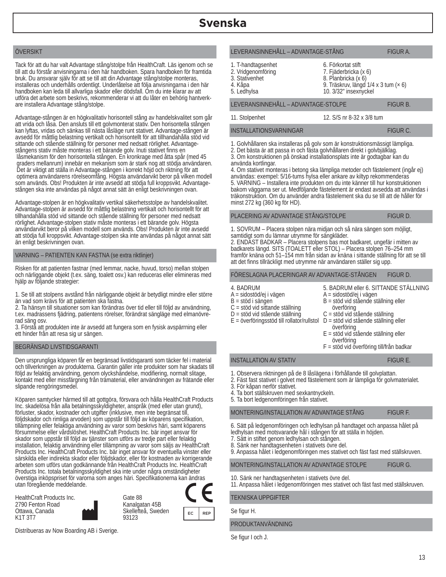# ÖVERSIKT

Tack för att du har valt Advantage stång/stolpe från HealthCraft. Läs igenom och se till att du förstår anvisningarna i den här handboken. Spara handboken för framtida bruk. Du ansvarar själv för att se till att din Advantage stång/stolpe monteras, installeras och underhålls ordentligt. Underlåtelse att följa anvisningarna i den här handboken kan leda till allvarliga skador eller dödsfall. Om du inte klarar av att utföra det arbete som beskrivs, rekommenderar vi att du låter en behörig hantverkare installera Advantage stång/stolpe.

Advantage-stången är en högkvalitativ horisontell stång av handelskvalitet som går att vrida och låsa. Den ansluts till ett golvmonterat stativ. Den horisontella stången kan lyftas, vridas och sänkas till nästa låsläge runt stativet. Advantage-stången är avsedd för måttlig belastning vertikalt och horisontellt för att tillhandahålla stöd vid sittande och stående ställning för personer med nedsatt rörlighet. Advantagestångens stativ måste monteras i ett bärande golv. Inuti stativet finns en låsmekanism för den horisontella stången. En kronkrage med åtta spår (med 45 graders mellanrum) innebär en mekanism som är stark nog att stödja användaren. Det är viktigt att ställa in Advantage-stången i korrekt höjd och riktning för att optimera användarens rörelseomfång. Högsta användarvikt beror på vilken modell som används. Obs! Produkten är inte avsedd att stödja full kroppsvikt. Advantagestången ska inte användas på något annat sätt än enligt beskrivningen ovan.

Advantage-stolpen är en högkvalitativ vertikal säkerhetsstolpe av handelskvalitet. Advantage-stolpen är avsedd för måttlig belastning vertikalt och horisontellt för att tillhandahålla stöd vid sittande och stående ställning för personer med nedsatt rörlighet. Advantage-stolpen stativ måste monteras i ett bärande golv. Högsta användarvikt beror på vilken modell som används. Obs! Produkten är inte avsedd att stödja full kroppsvikt. Advantage-stolpen ska inte användas på något annat sätt än enligt beskrivningen ovan.

# VARNING – PATIENTEN KAN FASTNA (se extra riktlinjer)

Risken för att patienten fastnar (med lemmar, nacke, huvud, torso) mellan stolpen och närliggande objekt (t.ex. säng, toalett osv.) kan reduceras eller elimineras med hjälp av följande strategier:

1. Se till att stolpens avstånd från närliggande objekt är betydligt mindre eller större än vad som krävs för att patienten ska fastna.

2. Ta hänsyn till situationer som kan förändras över tid eller till följd av användning, t.ex. madrassens fjädring, patientens rörelser, förändrat sängläge med elmanövrerad säng osv.

3. Förstå att produkten inte är avsedd att fungera som en fysisk avspärrning eller ett hinder från att resa sig ur sängen.

# BEGRÄNSAD LIVSTIDSGARANTI

Den ursprungliga köparen får en begränsad livstidsgaranti som täcker fel i material och tillverkningen av produkterna. Garantin gäller inte produkter som har skadats till följd av felaktig användning, genom olyckshändelse, modifiering, normalt slitage, kontakt med eller missfärgning från trämaterial, eller användningen av frätande eller slipande rengöringsmedel.

Köparen samtycker härmed till att gottgöra, försvara och hålla HealthCraft Products Inc. skadelösa från alla betalningsskyldigheter, anspråk (med eller utan grund), förluster, skador, kostnader och utgifter (inklusive, men inte begränsat till, följdskador och rimliga arvoden) som uppstår till följd av köparens specifikation, tillämpning eller felaktiga användning av varor som beskrivs häri, samt köparens försummelse eller vårdslöshet. HealthCraft Products Inc. bär inget ansvar för skador som uppstår till följd av tjänster som utförs av tredje part eller felaktig installation, felaktig användning eller tillämpning av varor som säljs av HealthCraft Products Inc. HealthCraft Products Inc. bär inget ansvar för eventuella vinster eller särskilda eller indirekta skador eller följdskador, eller för kostnaden av korrigerande arbeten som utförs utan godkännande från HealthCraft Products Inc. HealthCraft Products Inc. totala betalningsskyldighet ska inte under några omständigheter överstiga inköpspriset för varorna som anges häri. Specifikationerna kan ändras utan föregående meddelande.

HealthCraft Products Inc. 2790 Fenton Road Ottawa, Canada K1T 3T7

Gate 88 Kanalgatan 45B Skellefteå, Sweden 93123



Distribueras av Now Boarding AB i Sverige.

# LEVERANSINNEHÅLL – ADVANTAGE-STÅNG FIGUR A.

1. T-handtagsenhet

2. Vridgenomföring

3. Stativenhet

4. Kåpa 5. Ledhylsa

LEVERANSINNEHÅLL – ADVANTAGE-STOLPE FIGUR B.

11. Stolpenhet

12. S/S nr 8-32 x 3/8 tum

9. Träskruv, längd 1/4 x 3 tum (× 6)

6. Förkortat stift 7. Fjäderbricka (x 6) 8. Planbricka (x 6)

10. 3/32" insexnyckel

INSTALLATIONSVARNINGAR FIGUR C.

1. Golvhållaren ska installeras på golv som är konstruktionsmässigt lämpliga. 2. Det bästa är att passa in och fästa golvhållaren direkt i golvbjälklag.

3. Om konstruktionen på önskad installationsplats inte är godtagbar kan du använda kortlingar.

4. Om stativet monteras i betong ska lämpliga metoder och fästelement (ingår ej) användas: exempel: 5/16-tums hylsa eller ankare av kiltyp rekommenderas 5. VARNING – Installera inte produkten om du inte känner till hur konstruktionen bakom väggarna ser ut. Medföljande fästelement är endast avsedda att användas i träkonstruktion. Om du använder andra fästelement ska du se till att de håller för minst 272 kg (360 kg för HD).

PLACERING AV ADVANTAGE STÅNG/STOLPE FIGUR D.

1. SOVRUM – Placera stolpen nära midjan och så nära sängen som möjligt, samtidigt som du lämnar utrymme för sängkläder.

2. ENDAST BADKAR – Placera stolpens bas mot badkaret, ungefär i mitten av badkarets längd. SITS (TOALETT eller STOL) – Placera stolpen 76–254 mm framför knäna och 51–154 mm från sidan av knäna i sittande ställning för att se till att det finns tillräckligt med utrymme när användaren ställer sig upp.

## FÖRESLAGNA PLACERINGAR AV ADVANTAGE-STÅNGEN FIGUR D.

# 4. BADRUM

- A = sidostöd/ej i vägen
- B = stöd i sängen
- C = stöd vid sittande ställning
- D = stöd vid stående ställning
- 
- E = överföringsstöd till rollator/rullstol
- C = stöd vid stående ställning D = stöd vid stående ställning eller

A = sidostöd/ej i vägen

överföring

 överföring E = stöd vid stående ställning eller

B = stöd vid stående ställning eller

 överföring F = stöd vid överföring till/från badkar

5. BADRUM eller 6. SITTANDE STÄLLNING

# INSTALLATION AV STATIV FIGUR E.

- 1. Observera riktningen på de 8 låslägena i förhållande till golvplattan.
- 2. Fäst fast stativet i golvet med fästelement som är lämpliga för golvmaterialet.
- 3. För kåpan nerför stativet.
- 4. Ta bort ställskruven med sexkantnyckeln.
- 5. Ta bort ledgenomföringen från stativet.

## MONTERING/INSTALLATION AV ADVANTAGE STÅNG FIGUR F.

- 6. Sätt på ledgenomföringen och ledhylsan på handtaget och anpassa hålet på
- ledhylsan med motsvarande hål i stången för att ställa in höjden.
- 7. Sätt in stiftet genom ledhylsan och stången.
- 8. Sänk ner handtagsenheten i stativets övre del.
- 9. Anpassa hålet i ledgenomföringen mes stativet och fäst fast med ställskruven.

MONTERING/INSTALLATION AV ADVANTAGE STOLPE FIGUR G.

10. Sänk ner handtagsenheten i stativets övre del.

11. Anpassa hålet i ledgenomföringen mes stativet och fäst fast med ställskruven.

TEKNISKA UPPGIFTER

Se figur H.

# PRODUKTANVÄNDNING

Se figur I och J.